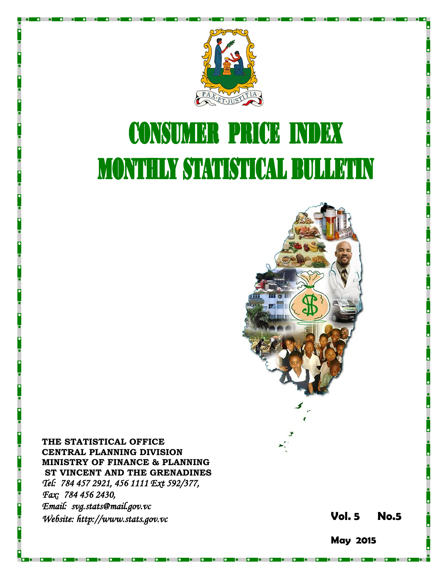

# **CONSUMER PRICE INDEX MONTHLY STATISTICAL BULLETIN**



**THE STATISTICAL OFFICE CENTRAL PLANNING DIVISION MINISTRY OF FINANCE & PLANNING ST VINCENT AND THE GRENADINES** *Tel: 784 457 2921, 456 1111 Ext 592/377, Fax: 784 456 2430, Email: svg.stats@mail.gov.vc Website: http://www.stats.gov.vc* **Vol.** 

**5 No. 5**

**May 2015**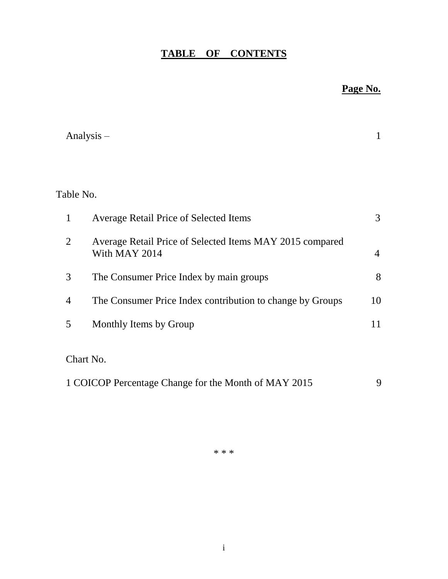# **TABLE OF CONTENTS**

# **Page No.**

|                | Analysis $-$                                                              | 1              |
|----------------|---------------------------------------------------------------------------|----------------|
|                |                                                                           |                |
| Table No.      |                                                                           |                |
| $\mathbf{1}$   | <b>Average Retail Price of Selected Items</b>                             | 3              |
| $\overline{2}$ | Average Retail Price of Selected Items MAY 2015 compared<br>With MAY 2014 | $\overline{4}$ |
| 3              | The Consumer Price Index by main groups                                   | 8              |
| 4              | The Consumer Price Index contribution to change by Groups                 | 10             |
| 5              | Monthly Items by Group                                                    | 11             |
|                | Chart No.                                                                 |                |
|                | 1 COICOP Percentage Change for the Month of MAY 2015                      | 9              |

\* \* \*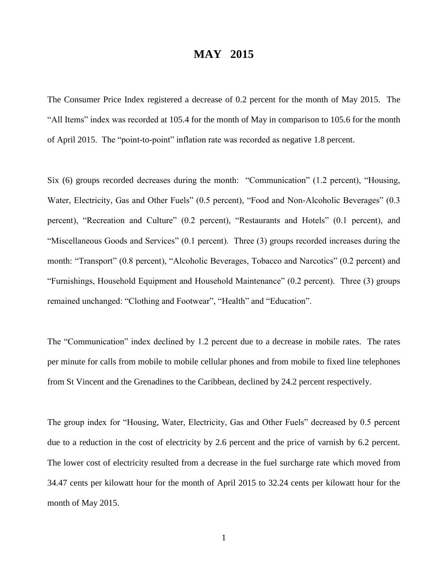## **MAY 2015**

The Consumer Price Index registered a decrease of 0.2 percent for the month of May 2015. The "All Items" index was recorded at 105.4 for the month of May in comparison to 105.6 for the month of April 2015. The "point-to-point" inflation rate was recorded as negative 1.8 percent.

Six (6) groups recorded decreases during the month: "Communication" (1.2 percent), "Housing, Water, Electricity, Gas and Other Fuels" (0.5 percent), "Food and Non-Alcoholic Beverages" (0.3 percent), "Recreation and Culture" (0.2 percent), "Restaurants and Hotels" (0.1 percent), and "Miscellaneous Goods and Services" (0.1 percent). Three (3) groups recorded increases during the month: "Transport" (0.8 percent), "Alcoholic Beverages, Tobacco and Narcotics" (0.2 percent) and "Furnishings, Household Equipment and Household Maintenance" (0.2 percent). Three (3) groups remained unchanged: "Clothing and Footwear", "Health" and "Education".

The "Communication" index declined by 1.2 percent due to a decrease in mobile rates. The rates per minute for calls from mobile to mobile cellular phones and from mobile to fixed line telephones from St Vincent and the Grenadines to the Caribbean, declined by 24.2 percent respectively.

The group index for "Housing, Water, Electricity, Gas and Other Fuels" decreased by 0.5 percent due to a reduction in the cost of electricity by 2.6 percent and the price of varnish by 6.2 percent. The lower cost of electricity resulted from a decrease in the fuel surcharge rate which moved from 34.47 cents per kilowatt hour for the month of April 2015 to 32.24 cents per kilowatt hour for the month of May 2015.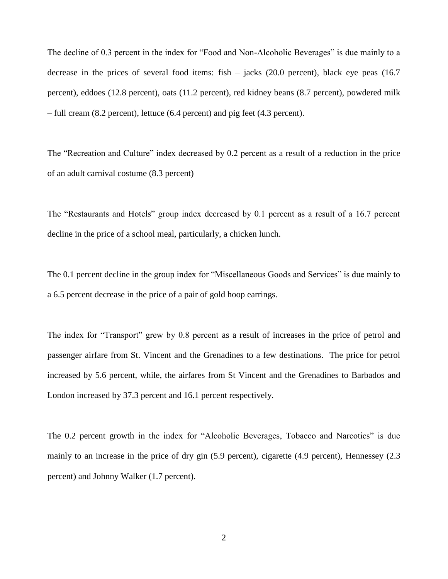The decline of 0.3 percent in the index for "Food and Non-Alcoholic Beverages" is due mainly to a decrease in the prices of several food items: fish – jacks (20.0 percent), black eye peas (16.7 percent), eddoes (12.8 percent), oats (11.2 percent), red kidney beans (8.7 percent), powdered milk – full cream (8.2 percent), lettuce (6.4 percent) and pig feet (4.3 percent).

The "Recreation and Culture" index decreased by 0.2 percent as a result of a reduction in the price of an adult carnival costume (8.3 percent)

The "Restaurants and Hotels" group index decreased by 0.1 percent as a result of a 16.7 percent decline in the price of a school meal, particularly, a chicken lunch.

The 0.1 percent decline in the group index for "Miscellaneous Goods and Services" is due mainly to a 6.5 percent decrease in the price of a pair of gold hoop earrings.

The index for "Transport" grew by 0.8 percent as a result of increases in the price of petrol and passenger airfare from St. Vincent and the Grenadines to a few destinations. The price for petrol increased by 5.6 percent, while, the airfares from St Vincent and the Grenadines to Barbados and London increased by 37.3 percent and 16.1 percent respectively.

The 0.2 percent growth in the index for "Alcoholic Beverages, Tobacco and Narcotics" is due mainly to an increase in the price of dry gin (5.9 percent), cigarette (4.9 percent), Hennessey (2.3 percent) and Johnny Walker (1.7 percent).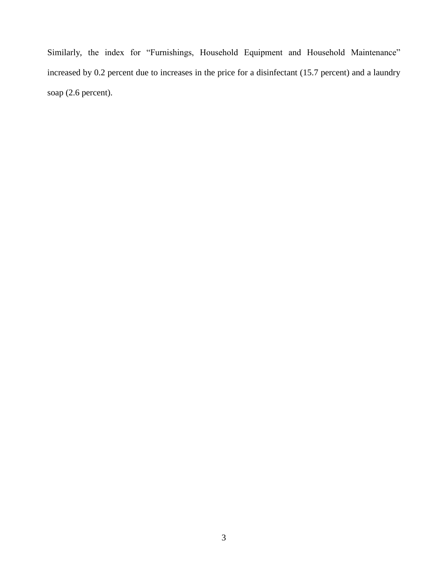Similarly, the index for "Furnishings, Household Equipment and Household Maintenance" increased by 0.2 percent due to increases in the price for a disinfectant (15.7 percent) and a laundry soap (2.6 percent).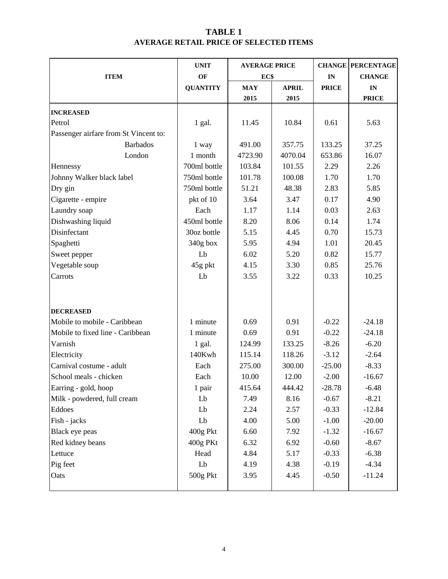## **TABLE 1 AVERAGE RETAIL PRICE OF SELECTED ITEMS**

|                                       | <b>UNIT</b>     | <b>AVERAGE PRICE</b> |              |              | <b>CHANGE PERCENTAGE</b> |  |
|---------------------------------------|-----------------|----------------------|--------------|--------------|--------------------------|--|
| <b>ITEM</b>                           | OF              | EC\$                 |              | IN           | <b>CHANGE</b>            |  |
|                                       | <b>QUANTITY</b> | <b>MAY</b>           | <b>APRIL</b> | <b>PRICE</b> | IN                       |  |
|                                       |                 | 2015                 | 2015         |              | <b>PRICE</b>             |  |
| <b>INCREASED</b>                      |                 |                      |              |              |                          |  |
| Petrol                                | $1$ gal.        | 11.45                | 10.84        | 0.61         | 5.63                     |  |
| Passenger airfare from St Vincent to: |                 |                      |              |              |                          |  |
| <b>Barbados</b>                       | 1 way           | 491.00               | 357.75       | 133.25       | 37.25                    |  |
| London                                | 1 month         | 4723.90              | 4070.04      | 653.86       | 16.07                    |  |
| Hennessy                              | 700ml bottle    | 103.84               | 101.55       | 2.29         | 2.26                     |  |
| Johnny Walker black label             | 750ml bottle    | 101.78               | 100.08       | 1.70         | 1.70                     |  |
| Dry gin                               | 750ml bottle    | 51.21                | 48.38        | 2.83         | 5.85                     |  |
| Cigarette - empire                    | pkt of 10       | 3.64                 | 3.47         | 0.17         | 4.90                     |  |
| Laundry soap                          | Each            | 1.17                 | 1.14         | 0.03         | 2.63                     |  |
| Dishwashing liquid                    | 450ml bottle    | 8.20                 | 8.06         | 0.14         | 1.74                     |  |
| Disinfectant                          | 30oz bottle     | 5.15                 | 4.45         | 0.70         | 15.73                    |  |
| Spaghetti                             | 340g box        | 5.95                 | 4.94         | 1.01         | 20.45                    |  |
| Sweet pepper                          | Lb              | 6.02                 | 5.20         | 0.82         | 15.77                    |  |
| Vegetable soup                        | 45g pkt         | 4.15                 | 3.30         | 0.85         | 25.76                    |  |
| Carrots                               | Lb              | 3.55                 | 3.22         | 0.33         | 10.25                    |  |
|                                       |                 |                      |              |              |                          |  |
|                                       |                 |                      |              |              |                          |  |
| <b>DECREASED</b>                      |                 |                      |              |              |                          |  |
| Mobile to mobile - Caribbean          | 1 minute        | 0.69                 | 0.91         | $-0.22$      | $-24.18$                 |  |
| Mobile to fixed line - Caribbean      | 1 minute        | 0.69                 | 0.91         | $-0.22$      | $-24.18$                 |  |
| Varnish                               | 1 gal.          | 124.99               | 133.25       | $-8.26$      | $-6.20$                  |  |
| Electricity                           | 140Kwh          | 115.14               | 118.26       | $-3.12$      | $-2.64$                  |  |
| Carnival costume - adult              | Each            | 275.00               | 300.00       | $-25.00$     | $-8.33$                  |  |
| School meals - chicken                | Each            | 10.00                | 12.00        | $-2.00$      | $-16.67$                 |  |
| Earring - gold, hoop                  | 1 pair          | 415.64               | 444.42       | $-28.78$     | $-6.48$                  |  |
| Milk - powdered, full cream           | Lb              | 7.49                 | 8.16         | $-0.67$      | $-8.21$                  |  |
| Eddoes                                | Lb              | 2.24                 | 2.57         | $-0.33$      | $-12.84$                 |  |
| Fish - jacks                          | Lb              | 4.00                 | 5.00         | $-1.00$      | $-20.00$                 |  |
| Black eye peas                        | 400g Pkt        | 6.60                 | 7.92         | $-1.32$      | $-16.67$                 |  |
| Red kidney beans                      | 400g PKt        | 6.32                 | 6.92         | $-0.60$      | $-8.67$                  |  |
| Lettuce                               | Head            | 4.84                 | 5.17         | $-0.33$      | $-6.38$                  |  |
| Pig feet                              | Lb              | 4.19                 | 4.38         | $-0.19$      | $-4.34$                  |  |
| Oats                                  | 500g Pkt        | 3.95                 | 4.45         | $-0.50$      | $-11.24$                 |  |
|                                       |                 |                      |              |              |                          |  |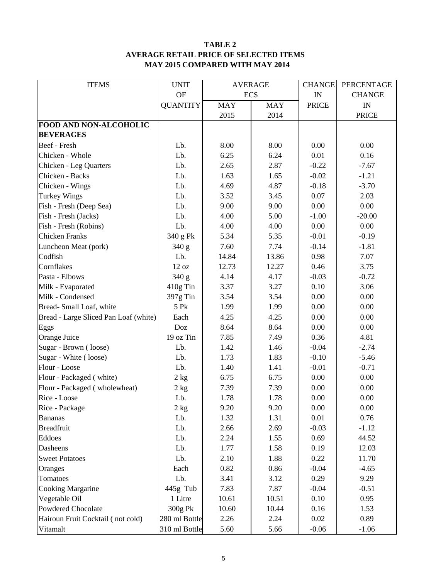#### **TABLE 2 AVERAGE RETAIL PRICE OF SELECTED ITEMS MAY 2015 COMPARED WITH MAY 2014**

| <b>ITEMS</b>                          | <b>UNIT</b>      | <b>AVERAGE</b> |            | <b>CHANGE</b>            | PERCENTAGE    |
|---------------------------------------|------------------|----------------|------------|--------------------------|---------------|
|                                       | <b>OF</b>        | EC\$           |            | $\ensuremath{\text{IN}}$ | <b>CHANGE</b> |
|                                       | <b>QUANTITY</b>  | <b>MAY</b>     | <b>MAY</b> | <b>PRICE</b>             | IN            |
|                                       |                  | 2015           | 2014       |                          | <b>PRICE</b>  |
| FOOD AND NON-ALCOHOLIC                |                  |                |            |                          |               |
| <b>BEVERAGES</b>                      |                  |                |            |                          |               |
| Beef - Fresh                          | Lb.              | 8.00           | 8.00       | 0.00                     | 0.00          |
| Chicken - Whole                       | Lb.              | 6.25           | 6.24       | 0.01                     | 0.16          |
| Chicken - Leg Quarters                | Lb.              | 2.65           | 2.87       | $-0.22$                  | $-7.67$       |
| Chicken - Backs                       | Lb.              | 1.63           | 1.65       | $-0.02$                  | $-1.21$       |
| Chicken - Wings                       | Lb.              | 4.69           | 4.87       | $-0.18$                  | $-3.70$       |
| <b>Turkey Wings</b>                   | Lb.              | 3.52           | 3.45       | 0.07                     | 2.03          |
| Fish - Fresh (Deep Sea)               | Lb.              | 9.00           | 9.00       | 0.00                     | 0.00          |
| Fish - Fresh (Jacks)                  | Lb.              | 4.00           | 5.00       | $-1.00$                  | $-20.00$      |
| Fish - Fresh (Robins)                 | Lb.              | 4.00           | 4.00       | 0.00                     | 0.00          |
| <b>Chicken Franks</b>                 | 340 g Pk         | 5.34           | 5.35       | $-0.01$                  | $-0.19$       |
| Luncheon Meat (pork)                  | 340 g            | 7.60           | 7.74       | $-0.14$                  | $-1.81$       |
| Codfish                               | Lb.              | 14.84          | 13.86      | 0.98                     | 7.07          |
| Cornflakes                            | 12 oz            | 12.73          | 12.27      | 0.46                     | 3.75          |
| Pasta - Elbows                        | 340 g            | 4.14           | 4.17       | $-0.03$                  | $-0.72$       |
| Milk - Evaporated                     | 410g Tin         | 3.37           | 3.27       | 0.10                     | 3.06          |
| Milk - Condensed                      | 397g Tin         | 3.54           | 3.54       | 0.00                     | 0.00          |
| Bread-Small Loaf, white               | 5 Pk             | 1.99           | 1.99       | 0.00                     | 0.00          |
| Bread - Large Sliced Pan Loaf (white) | Each             | 4.25           | 4.25       | 0.00                     | 0.00          |
| Eggs                                  | Doz              | 8.64           | 8.64       | 0.00                     | 0.00          |
| Orange Juice                          | 19 oz Tin        | 7.85           | 7.49       | 0.36                     | 4.81          |
| Sugar - Brown (loose)                 | Lb.              | 1.42           | 1.46       | $-0.04$                  | $-2.74$       |
| Sugar - White (loose)                 | Lb.              | 1.73           | 1.83       | $-0.10$                  | $-5.46$       |
| Flour - Loose                         | Lb.              | 1.40           | 1.41       | $-0.01$                  | $-0.71$       |
| Flour - Packaged (white)              | 2 kg             | 6.75           | 6.75       | 0.00                     | 0.00          |
| Flour - Packaged (wholewheat)         | 2 kg             | 7.39           | 7.39       | 0.00                     | 0.00          |
| Rice - Loose                          | Lb.              | 1.78           | 1.78       | 0.00                     | 0.00          |
| Rice - Package                        | $2\ \mathrm{kg}$ | 9.20           | 9.20       | 0.00                     | 0.00          |
| <b>Bananas</b>                        | Lb.              | 1.32           | 1.31       | 0.01                     | 0.76          |
| <b>Breadfruit</b>                     | Lb.              | 2.66           | 2.69       | $-0.03$                  | $-1.12$       |
| Eddoes                                | Lb.              | 2.24           | 1.55       | 0.69                     | 44.52         |
| Dasheens                              | Lb.              | 1.77           | 1.58       | 0.19                     | 12.03         |
| <b>Sweet Potatoes</b>                 | Lb.              | 2.10           | 1.88       | 0.22                     | 11.70         |
| Oranges                               | Each             | 0.82           | 0.86       | $-0.04$                  | $-4.65$       |
| Tomatoes                              | Lb.              | 3.41           | 3.12       | 0.29                     | 9.29          |
| <b>Cooking Margarine</b>              | 445g Tub         | 7.83           | 7.87       | $-0.04$                  | $-0.51$       |
| Vegetable Oil                         | 1 Litre          | 10.61          | 10.51      | 0.10                     | 0.95          |
| Powdered Chocolate                    | 300g Pk          | 10.60          | 10.44      | 0.16                     | 1.53          |
| Hairoun Fruit Cocktail (not cold)     | 280 ml Bottle    | 2.26           | 2.24       | 0.02                     | 0.89          |
| Vitamalt                              | 310 ml Bottle    | 5.60           | 5.66       | $-0.06$                  | $-1.06$       |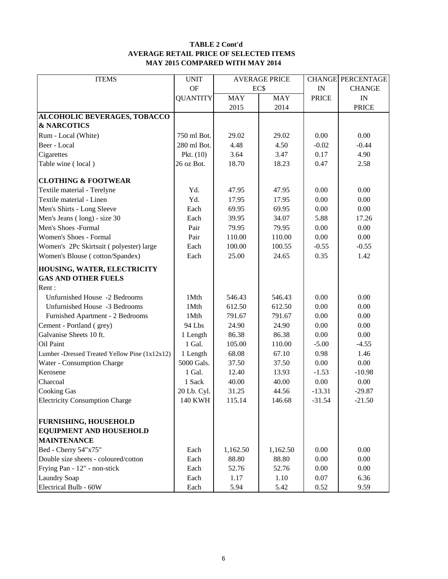#### **TABLE 2 Cont'd AVERAGE RETAIL PRICE OF SELECTED ITEMS MAY 2015 COMPARED WITH MAY 2014**

| <b>ITEMS</b><br><b>AVERAGE PRICE</b><br><b>CHANGE PERCENTAGE</b><br><b>OF</b><br>EC\$<br>IN<br><b>CHANGE</b><br><b>QUANTITY</b><br><b>MAY</b><br><b>MAY</b><br><b>PRICE</b><br>IN<br>2015<br>2014<br><b>PRICE</b><br>ALCOHOLIC BEVERAGES, TOBACCO<br><b>&amp; NARCOTICS</b><br>Rum - Local (White)<br>750 ml Bot.<br>29.02<br>0.00<br>0.00<br>29.02<br>280 ml Bot.<br>4.48<br>Beer - Local<br>4.50<br>$-0.02$<br>$-0.44$<br>Cigarettes<br>Pkt. $(10)$<br>3.64<br>3.47<br>0.17<br>4.90<br>2.58<br>Table wine (local)<br>26 oz Bot.<br>18.70<br>18.23<br>0.47<br><b>CLOTHING &amp; FOOTWEAR</b> |
|-----------------------------------------------------------------------------------------------------------------------------------------------------------------------------------------------------------------------------------------------------------------------------------------------------------------------------------------------------------------------------------------------------------------------------------------------------------------------------------------------------------------------------------------------------------------------------------------------|
|                                                                                                                                                                                                                                                                                                                                                                                                                                                                                                                                                                                               |
|                                                                                                                                                                                                                                                                                                                                                                                                                                                                                                                                                                                               |
|                                                                                                                                                                                                                                                                                                                                                                                                                                                                                                                                                                                               |
|                                                                                                                                                                                                                                                                                                                                                                                                                                                                                                                                                                                               |
|                                                                                                                                                                                                                                                                                                                                                                                                                                                                                                                                                                                               |
|                                                                                                                                                                                                                                                                                                                                                                                                                                                                                                                                                                                               |
|                                                                                                                                                                                                                                                                                                                                                                                                                                                                                                                                                                                               |
|                                                                                                                                                                                                                                                                                                                                                                                                                                                                                                                                                                                               |
|                                                                                                                                                                                                                                                                                                                                                                                                                                                                                                                                                                                               |
|                                                                                                                                                                                                                                                                                                                                                                                                                                                                                                                                                                                               |
| Textile material - Terelyne<br>Yd.<br>47.95<br>0.00<br>0.00<br>47.95                                                                                                                                                                                                                                                                                                                                                                                                                                                                                                                          |
| Yd.<br>0.00<br>Textile material - Linen<br>17.95<br>17.95<br>0.00                                                                                                                                                                                                                                                                                                                                                                                                                                                                                                                             |
| $0.00\,$<br>Men's Shirts - Long Sleeve<br>Each<br>69.95<br>69.95<br>0.00                                                                                                                                                                                                                                                                                                                                                                                                                                                                                                                      |
| Men's Jeans (long) - size 30<br>Each<br>39.95<br>34.07<br>5.88<br>17.26                                                                                                                                                                                                                                                                                                                                                                                                                                                                                                                       |
| Men's Shoes -Formal<br>Pair<br>79.95<br>0.00<br>0.00<br>79.95                                                                                                                                                                                                                                                                                                                                                                                                                                                                                                                                 |
| Women's Shoes - Formal<br>0.00<br>Pair<br>110.00<br>110.00<br>0.00                                                                                                                                                                                                                                                                                                                                                                                                                                                                                                                            |
| Women's 2Pc Skirtsuit (polyester) large<br>100.00<br>100.55<br>$-0.55$<br>$-0.55$<br>Each                                                                                                                                                                                                                                                                                                                                                                                                                                                                                                     |
| 25.00<br>0.35<br>Women's Blouse (cotton/Spandex)<br>Each<br>24.65<br>1.42                                                                                                                                                                                                                                                                                                                                                                                                                                                                                                                     |
| HOUSING, WATER, ELECTRICITY                                                                                                                                                                                                                                                                                                                                                                                                                                                                                                                                                                   |
| <b>GAS AND OTHER FUELS</b>                                                                                                                                                                                                                                                                                                                                                                                                                                                                                                                                                                    |
| Rent:                                                                                                                                                                                                                                                                                                                                                                                                                                                                                                                                                                                         |
| Unfurnished House -2 Bedrooms<br>1Mth<br>0.00<br>0.00<br>546.43<br>546.43                                                                                                                                                                                                                                                                                                                                                                                                                                                                                                                     |
| 0.00<br>0.00<br>Unfurnished House -3 Bedrooms<br>1Mth<br>612.50<br>612.50                                                                                                                                                                                                                                                                                                                                                                                                                                                                                                                     |
| Furnished Apartment - 2 Bedrooms<br>1Mth<br>791.67<br>0.00<br>0.00<br>791.67                                                                                                                                                                                                                                                                                                                                                                                                                                                                                                                  |
| 94 Lbs<br>$0.00\,$<br>Cement - Portland (grey)<br>24.90<br>24.90<br>0.00                                                                                                                                                                                                                                                                                                                                                                                                                                                                                                                      |
| Galvanise Sheets 10 ft.<br>86.38<br>0.00<br>1 Length<br>86.38<br>0.00                                                                                                                                                                                                                                                                                                                                                                                                                                                                                                                         |
| 1 Gal.<br>Oil Paint<br>105.00<br>110.00<br>$-5.00$<br>$-4.55$                                                                                                                                                                                                                                                                                                                                                                                                                                                                                                                                 |
| 1.46<br>Lumber -Dressed Treated Yellow Pine (1x12x12)<br>68.08<br>67.10<br>0.98<br>1 Length                                                                                                                                                                                                                                                                                                                                                                                                                                                                                                   |
| 0.00<br>Water - Consumption Charge<br>5000 Gals.<br>37.50<br>37.50<br>0.00                                                                                                                                                                                                                                                                                                                                                                                                                                                                                                                    |
| Kerosene<br>1 Gal.<br>12.40<br>13.93<br>$-1.53$<br>$-10.98$                                                                                                                                                                                                                                                                                                                                                                                                                                                                                                                                   |
| Charcoal<br>1 Sack<br>40.00<br>40.00<br>0.00<br>0.00                                                                                                                                                                                                                                                                                                                                                                                                                                                                                                                                          |
| <b>Cooking Gas</b><br>31.25<br>44.56<br>$-13.31$<br>$-29.87$<br>20 Lb. Cyl.                                                                                                                                                                                                                                                                                                                                                                                                                                                                                                                   |
| <b>Electricity Consumption Charge</b><br><b>140 KWH</b><br>115.14<br>$-21.50$<br>146.68<br>$-31.54$                                                                                                                                                                                                                                                                                                                                                                                                                                                                                           |
| <b>FURNISHING, HOUSEHOLD</b>                                                                                                                                                                                                                                                                                                                                                                                                                                                                                                                                                                  |
| <b>EQUIPMENT AND HOUSEHOLD</b>                                                                                                                                                                                                                                                                                                                                                                                                                                                                                                                                                                |
| <b>MAINTENANCE</b>                                                                                                                                                                                                                                                                                                                                                                                                                                                                                                                                                                            |
| Bed - Cherry 54"x75"<br>0.00<br>Each<br>1,162.50<br>1,162.50<br>0.00                                                                                                                                                                                                                                                                                                                                                                                                                                                                                                                          |
| Double size sheets - coloured/cotton<br>$0.00\,$<br>88.80<br>88.80<br>0.00<br>Each                                                                                                                                                                                                                                                                                                                                                                                                                                                                                                            |
| Frying Pan - 12" - non-stick<br>Each<br>52.76<br>52.76<br>0.00<br>0.00                                                                                                                                                                                                                                                                                                                                                                                                                                                                                                                        |
| <b>Laundry Soap</b><br>1.17<br>0.07<br>6.36<br>Each<br>1.10                                                                                                                                                                                                                                                                                                                                                                                                                                                                                                                                   |
| Electrical Bulb - 60W<br>5.94<br>5.42<br>0.52<br>9.59<br>Each                                                                                                                                                                                                                                                                                                                                                                                                                                                                                                                                 |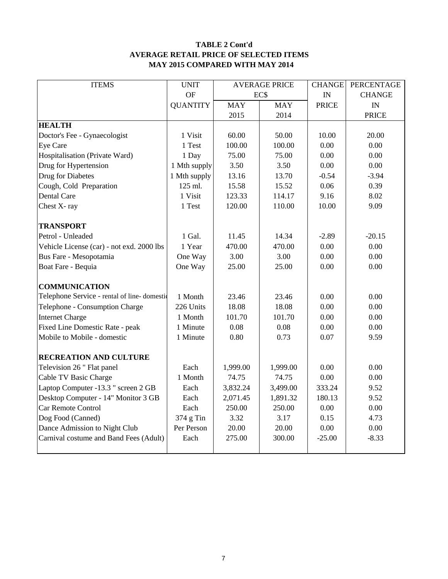### **TABLE 2 Cont'd AVERAGE RETAIL PRICE OF SELECTED ITEMS MAY 2015 COMPARED WITH MAY 2014**

| <b>ITEMS</b>                                | <b>UNIT</b>     | <b>AVERAGE PRICE</b> |            | <b>CHANGE</b> | <b>PERCENTAGE</b> |  |
|---------------------------------------------|-----------------|----------------------|------------|---------------|-------------------|--|
|                                             | OF              | EC\$                 |            | IN            | <b>CHANGE</b>     |  |
|                                             | <b>QUANTITY</b> | <b>MAY</b>           | <b>MAY</b> | <b>PRICE</b>  | IN                |  |
|                                             |                 | 2015                 | 2014       |               | <b>PRICE</b>      |  |
| <b>HEALTH</b>                               |                 |                      |            |               |                   |  |
| Doctor's Fee - Gynaecologist                | 1 Visit         | 60.00                | 50.00      | 10.00         | 20.00             |  |
| Eye Care                                    | 1 Test          | 100.00               | 100.00     | 0.00          | 0.00              |  |
| Hospitalisation (Private Ward)              | 1 Day           | 75.00                | 75.00      | 0.00          | 0.00              |  |
| Drug for Hypertension                       | 1 Mth supply    | 3.50                 | 3.50       | 0.00          | 0.00              |  |
| Drug for Diabetes                           | 1 Mth supply    | 13.16                | 13.70      | $-0.54$       | $-3.94$           |  |
| Cough, Cold Preparation                     | 125 ml.         | 15.58                | 15.52      | 0.06          | 0.39              |  |
| Dental Care                                 | 1 Visit         | 123.33               | 114.17     | 9.16          | 8.02              |  |
| Chest X-ray                                 | 1 Test          | 120.00               | 110.00     | 10.00         | 9.09              |  |
|                                             |                 |                      |            |               |                   |  |
| <b>TRANSPORT</b>                            |                 |                      |            |               |                   |  |
| Petrol - Unleaded                           | 1 Gal.          | 11.45                | 14.34      | $-2.89$       | $-20.15$          |  |
| Vehicle License (car) - not exd. 2000 lbs   | 1 Year          | 470.00               | 470.00     | 0.00          | 0.00              |  |
| Bus Fare - Mesopotamia                      | One Way         | 3.00                 | 3.00       | 0.00          | 0.00              |  |
| Boat Fare - Bequia                          | One Way         | 25.00<br>25.00       |            | 0.00          | 0.00              |  |
|                                             |                 |                      |            |               |                   |  |
| <b>COMMUNICATION</b>                        |                 |                      |            |               |                   |  |
| Telephone Service - rental of line-domestic | 1 Month         | 23.46                | 23.46      | 0.00          | 0.00              |  |
| Telephone - Consumption Charge              | 226 Units       | 18.08                | 18.08      | 0.00          | 0.00              |  |
| <b>Internet Charge</b>                      | 1 Month         | 101.70<br>101.70     |            | 0.00          | 0.00              |  |
| Fixed Line Domestic Rate - peak             | 1 Minute        | 0.08<br>0.08         |            | 0.00          | 0.00              |  |
| Mobile to Mobile - domestic                 | 1 Minute        | 0.80<br>0.73         |            | 0.07          | 9.59              |  |
|                                             |                 |                      |            |               |                   |  |
| <b>RECREATION AND CULTURE</b>               |                 |                      |            |               |                   |  |
| Television 26 " Flat panel                  | Each            | 1,999.00             | 1,999.00   | 0.00          | 0.00              |  |
| Cable TV Basic Charge                       | 1 Month         | 74.75                | 74.75      | 0.00          | 0.00              |  |
| Laptop Computer -13.3 " screen 2 GB         | Each            | 3,832.24             | 3,499.00   | 333.24        | 9.52              |  |
| Desktop Computer - 14" Monitor 3 GB         | Each            | 2,071.45             | 1,891.32   | 180.13        | 9.52              |  |
| Car Remote Control                          | Each            | 250.00               | 250.00     | 0.00          | 0.00              |  |
| Dog Food (Canned)                           | 374 g Tin       | 3.32                 | 3.17       | 0.15          | 4.73              |  |
| Dance Admission to Night Club               | Per Person      | 20.00                | 20.00      | 0.00          | 0.00              |  |
| Carnival costume and Band Fees (Adult)      | Each            | 275.00               | 300.00     | $-25.00$      | $-8.33$           |  |
|                                             |                 |                      |            |               |                   |  |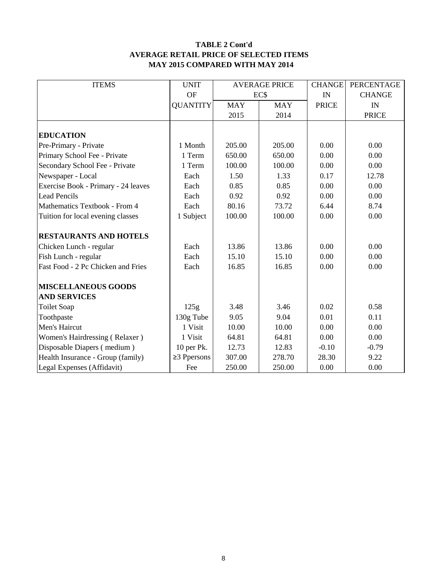#### **TABLE 2 Cont'd AVERAGE RETAIL PRICE OF SELECTED ITEMS MAY 2015 COMPARED WITH MAY 2014**

| <b>ITEMS</b>                        | <b>UNIT</b>       | <b>AVERAGE PRICE</b> |            | <b>CHANGE</b> | PERCENTAGE    |
|-------------------------------------|-------------------|----------------------|------------|---------------|---------------|
|                                     | <b>OF</b>         |                      | EC\$       | IN            | <b>CHANGE</b> |
|                                     | <b>QUANTITY</b>   | <b>MAY</b>           | <b>MAY</b> | <b>PRICE</b>  | IN            |
|                                     |                   | 2015                 | 2014       |               | <b>PRICE</b>  |
|                                     |                   |                      |            |               |               |
| <b>EDUCATION</b>                    |                   |                      |            |               |               |
| Pre-Primary - Private               | 1 Month           | 205.00               | 205.00     | 0.00          | 0.00          |
| Primary School Fee - Private        | 1 Term            | 650.00               | 650.00     | 0.00          | 0.00          |
| Secondary School Fee - Private      | 1 Term            | 100.00               | 100.00     | 0.00          | 0.00          |
| Newspaper - Local                   | Each              | 1.50                 | 1.33       | 0.17          | 12.78         |
| Exercise Book - Primary - 24 leaves | Each              | 0.85                 | 0.85       | 0.00          | 0.00          |
| <b>Lead Pencils</b>                 | Each              | 0.92                 | 0.92       | 0.00          | 0.00          |
| Mathematics Textbook - From 4       | Each              | 80.16                | 73.72      | 6.44          | 8.74          |
| Tuition for local evening classes   | 1 Subject         | 100.00               | 100.00     | 0.00          | 0.00          |
|                                     |                   |                      |            |               |               |
| <b>RESTAURANTS AND HOTELS</b>       |                   |                      |            |               |               |
| Chicken Lunch - regular             | Each              | 13.86                | 13.86      | 0.00          | 0.00          |
| Fish Lunch - regular                | Each              | 15.10                | 15.10      | 0.00          | 0.00          |
| Fast Food - 2 Pc Chicken and Fries  | Each              | 16.85                | 16.85      | 0.00          | 0.00          |
|                                     |                   |                      |            |               |               |
| <b>MISCELLANEOUS GOODS</b>          |                   |                      |            |               |               |
| <b>AND SERVICES</b>                 |                   |                      |            |               |               |
| <b>Toilet Soap</b>                  | 125g              | 3.48                 | 3.46       | 0.02          | 0.58          |
| Toothpaste                          | 130g Tube         | 9.05                 | 9.04       | 0.01          | 0.11          |
| Men's Haircut                       | 1 Visit           | 10.00                | 10.00      | 0.00          | 0.00          |
| Women's Hairdressing (Relaxer)      | 1 Visit           | 64.81                | 64.81      | 0.00          | 0.00          |
| Disposable Diapers (medium)         | 10 per Pk.        | 12.73                | 12.83      | $-0.10$       | $-0.79$       |
| Health Insurance - Group (family)   | $\geq$ 3 Ppersons | 307.00               | 278.70     | 28.30         | 9.22          |
| Legal Expenses (Affidavit)          | Fee               | 250.00               | 250.00     | 0.00          | 0.00          |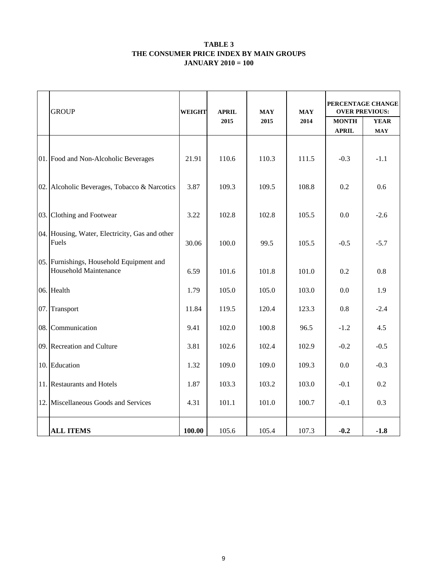#### **TABLE 3 THE CONSUMER PRICE INDEX BY MAIN GROUPS JANUARY 2010 = 100**

|     | <b>GROUP</b>                                                             | <b>WEIGHT</b> | <b>APRIL</b> | <b>MAY</b> | <b>MAY</b> | PERCENTAGE CHANGE<br><b>OVER PREVIOUS:</b> |                           |  |
|-----|--------------------------------------------------------------------------|---------------|--------------|------------|------------|--------------------------------------------|---------------------------|--|
|     |                                                                          |               | 2015         | 2015       | 2014       | <b>MONTH</b><br><b>APRIL</b>               | <b>YEAR</b><br><b>MAY</b> |  |
|     | 01. Food and Non-Alcoholic Beverages                                     | 21.91         | 110.6        | 110.3      | 111.5      | $-0.3$                                     | $-1.1$                    |  |
|     | 02. Alcoholic Beverages, Tobacco & Narcotics                             |               | 109.3        | 109.5      | 108.8      | 0.2                                        | 0.6                       |  |
| 03. | Clothing and Footwear                                                    |               | 102.8        | 102.8      | 105.5      | 0.0                                        | $-2.6$                    |  |
|     | 04. Housing, Water, Electricity, Gas and other<br>Fuels                  |               | 100.0        | 99.5       | 105.5      | $-0.5$                                     | $-5.7$                    |  |
|     | 05. Furnishings, Household Equipment and<br><b>Household Maintenance</b> | 6.59          | 101.6        | 101.8      | 101.0      | 0.2                                        | 0.8                       |  |
|     | 06. Health                                                               | 1.79          | 105.0        | 105.0      | 103.0      | 0.0                                        | 1.9                       |  |
| 07. | Transport                                                                | 11.84         | 119.5        | 120.4      | 123.3      | 0.8                                        | $-2.4$                    |  |
| 08. | Communication                                                            | 9.41          | 102.0        | 100.8      | 96.5       | $-1.2$                                     | 4.5                       |  |
|     | 09. Recreation and Culture                                               | 3.81          | 102.6        | 102.4      | 102.9      | $-0.2$                                     | $-0.5$                    |  |
|     | 10. Education                                                            | 1.32          | 109.0        | 109.0      | 109.3      | 0.0                                        | $-0.3$                    |  |
|     | 11. Restaurants and Hotels                                               | 1.87          | 103.3        | 103.2      | 103.0      | $-0.1$                                     | 0.2                       |  |
|     | 12. Miscellaneous Goods and Services                                     | 4.31          | 101.1        | 101.0      | 100.7      | $-0.1$                                     | 0.3                       |  |
|     | <b>ALL ITEMS</b>                                                         | 100.00        | 105.6        | 105.4      | 107.3      | $-0.2$                                     | $-1.8$                    |  |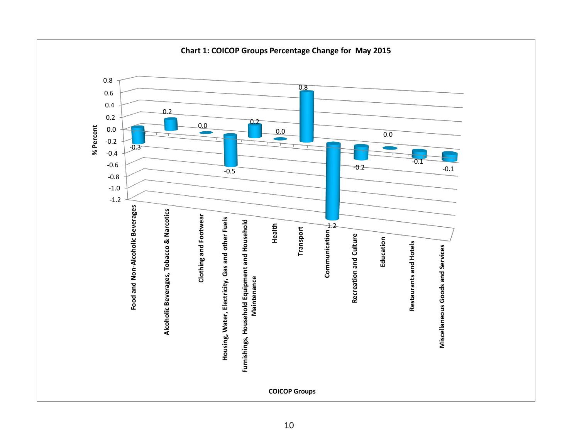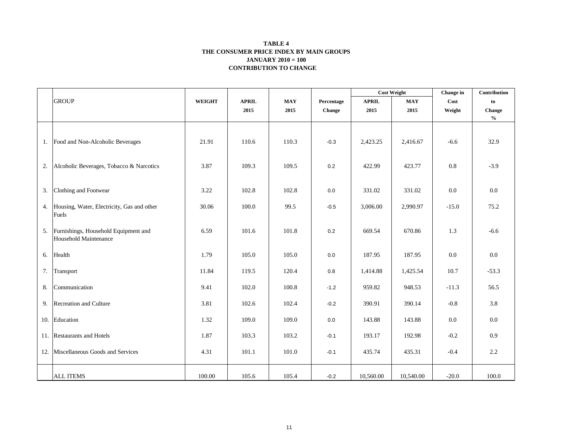#### **CONTRIBUTION TO CHANGE TABLE 4 THE CONSUMER PRICE INDEX BY MAIN GROUPS JANUARY 2010 = 100**

|    |                                                               |               |              |            |            | <b>Cost Weight</b> |            | Change in | Contribution                       |
|----|---------------------------------------------------------------|---------------|--------------|------------|------------|--------------------|------------|-----------|------------------------------------|
|    | <b>GROUP</b>                                                  | <b>WEIGHT</b> | <b>APRIL</b> | <b>MAY</b> | Percentage | <b>APRIL</b>       | <b>MAY</b> | Cost      | to                                 |
|    |                                                               |               | 2015         | 2015       | Change     | 2015               | 2015       | Weight    | Change                             |
|    |                                                               |               |              |            |            |                    |            |           | $\mathbf{0}_{\mathbf{0}}^{\prime}$ |
|    |                                                               |               |              |            |            |                    |            |           |                                    |
|    | 1. Food and Non-Alcoholic Beverages                           | 21.91         | 110.6        | 110.3      | $-0.3$     | 2,423.25           | 2,416.67   | $-6.6$    | 32.9                               |
| 2. | Alcoholic Beverages, Tobacco & Narcotics                      | 3.87          | 109.3        | 109.5      | 0.2        | 422.99             | 423.77     | 0.8       | $-3.9$                             |
| 3. | Clothing and Footwear                                         | 3.22          | 102.8        | 102.8      | 0.0        | 331.02             | 331.02     | 0.0       | 0.0                                |
|    | 4. Housing, Water, Electricity, Gas and other<br>Fuels        | 30.06         | 100.0        | 99.5       | $-0.5$     | 3,006.00           | 2,990.97   | $-15.0$   | 75.2                               |
| 5. | Furnishings, Household Equipment and<br>Household Maintenance | 6.59          | 101.6        | 101.8      | 0.2        | 669.54             | 670.86     | 1.3       | $-6.6$                             |
| 6. | Health                                                        | 1.79          | 105.0        | 105.0      | 0.0        | 187.95             | 187.95     | 0.0       | 0.0                                |
|    | 7. Transport                                                  | 11.84         | 119.5        | 120.4      | $0.8\,$    | 1,414.88           | 1,425.54   | 10.7      | $-53.3$                            |
| 8. | Communication                                                 | 9.41          | 102.0        | 100.8      | $-1.2$     | 959.82             | 948.53     | $-11.3$   | 56.5                               |
|    | 9. Recreation and Culture                                     | 3.81          | 102.6        | 102.4      | $-0.2$     | 390.91             | 390.14     | $-0.8$    | 3.8                                |
|    | 10. Education                                                 | 1.32          | 109.0        | 109.0      | 0.0        | 143.88             | 143.88     | 0.0       | $0.0\,$                            |
|    | 11. Restaurants and Hotels                                    | 1.87          | 103.3        | 103.2      | $-0.1$     | 193.17             | 192.98     | $-0.2$    | 0.9                                |
|    | 12. Miscellaneous Goods and Services                          | 4.31          | 101.1        | 101.0      | $-0.1$     | 435.74             | 435.31     | $-0.4$    | 2.2                                |
|    | <b>ALL ITEMS</b>                                              | 100.00        | 105.6        | 105.4      | $-0.2$     | 10,560.00          | 10,540.00  | $-20.0$   | 100.0                              |